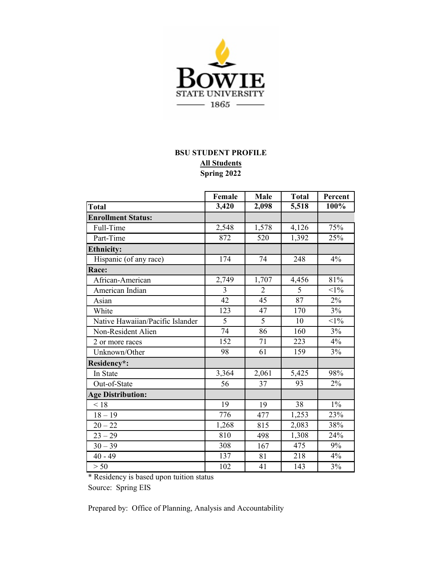

## **All Students BSU STUDENT PROFILE Spring 2022**

|                                  | Female | Male           | <b>Total</b>   | Percent |  |
|----------------------------------|--------|----------------|----------------|---------|--|
| <b>Total</b>                     | 3,420  | 2,098          | 5,518          | 100%    |  |
| <b>Enrollment Status:</b>        |        |                |                |         |  |
| Full-Time                        | 2,548  | 1,578          | 4,126          | 75%     |  |
| Part-Time                        | 872    | 520            | 1,392          | 25%     |  |
| <b>Ethnicity:</b>                |        |                |                |         |  |
| Hispanic (of any race)           | 174    | 74             | 248            | 4%      |  |
| Race:                            |        |                |                |         |  |
| African-American                 | 2,749  | 1,707          | 4,456          | 81%     |  |
| American Indian                  | 3      | $\overline{2}$ | $\overline{5}$ | $<1\%$  |  |
| Asian                            | 42     | 45             | 87             | 2%      |  |
| White                            | 123    | 47             | 170            | 3%      |  |
| Native Hawaiian/Pacific Islander | 5      | 5              | 10             | $<1\%$  |  |
| Non-Resident Alien               | 74     | 86             | 160            | 3%      |  |
| 2 or more races                  | 152    | 71             | 223            | 4%      |  |
| Unknown/Other                    | 98     | 61             | 159            | 3%      |  |
| Residency*:                      |        |                |                |         |  |
| In State                         | 3,364  | 2,061          | 5,425          | 98%     |  |
| Out-of-State                     | 56     | 37             | 93             | 2%      |  |
| <b>Age Distribution:</b>         |        |                |                |         |  |
| < 18                             | 19     | 19             | 38             | $1\%$   |  |
| $18 - 19$                        | 776    | 477            | 1,253          | 23%     |  |
| $20 - 22$                        | 1,268  | 815            | 2,083          | 38%     |  |
| $23 - 29$                        | 810    | 498            | 1,308          | 24%     |  |
| $30 - 39$                        | 308    | 167            | 475            | 9%      |  |
| $40 - 49$                        | 137    | 81             | 218            | 4%      |  |
| > 50                             | 102    | 41             | 143            | 3%      |  |

\* Residency is based upon tuition status

Source: Spring EIS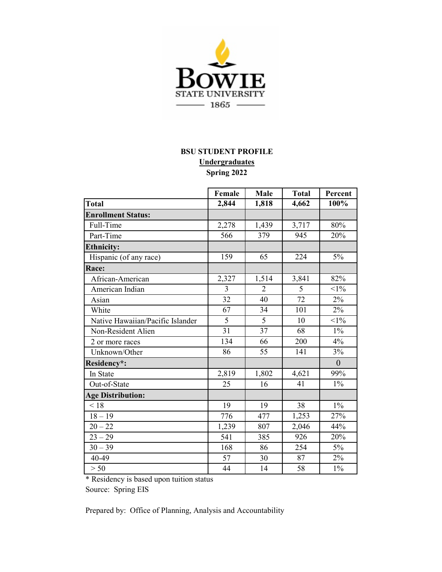

## **BSU STUDENT PROFILE Undergraduates Spring 2022**

|                                  | Female         | Male           | <b>Total</b> | Percent        |  |
|----------------------------------|----------------|----------------|--------------|----------------|--|
| <b>Total</b>                     | 2,844          | 1,818          | 4,662        | 100%           |  |
| <b>Enrollment Status:</b>        |                |                |              |                |  |
| Full-Time                        | 2,278          | 1,439          | 3,717        | 80%            |  |
| Part-Time                        | 566            | 379            | 945          | 20%            |  |
| <b>Ethnicity:</b>                |                |                |              |                |  |
| Hispanic (of any race)           | 159            | 65             | 224          | $5\%$          |  |
| Race:                            |                |                |              |                |  |
| African-American                 | 2,327          | 1,514          | 3,841        | 82%            |  |
| American Indian                  | $\overline{3}$ | $\overline{2}$ | 5            | $<1\%$         |  |
| Asian                            | 32             | 40             | 72           | $2\%$          |  |
| White                            | 67             | 34             | 101          | 2%             |  |
| Native Hawaiian/Pacific Islander | $\overline{5}$ | $\overline{5}$ | 10           | $<1\%$         |  |
| Non-Resident Alien               | 31             | 37             | 68           | $1\%$          |  |
| 2 or more races                  | 134            | 66             | 200          | 4%             |  |
| Unknown/Other                    | 86             | 55             | 141          | 3%             |  |
| Residency*:                      |                |                |              | $\overline{0}$ |  |
| In State                         | 2,819          | 1,802          | 4,621        | 99%            |  |
| Out-of-State                     | 25             | 16             | 41           | $1\%$          |  |
| <b>Age Distribution:</b>         |                |                |              |                |  |
| < 18                             | 19             | 19             | 38           | $1\%$          |  |
| $18 - 19$                        | 776            | 477            | 1,253        | 27%            |  |
| $20 - 22$                        | 1,239          | 807            | 2,046        | 44%            |  |
| $23 - 29$                        | 541            | 385            | 926          | 20%            |  |
| $30 - 39$                        | 168            | 86             | 254          | $5\%$          |  |
| 40-49                            | 57             | 30             | 87           | 2%             |  |
| > 50                             | 44             | 14             | 58           | $1\%$          |  |

\* Residency is based upon tuition status

Source: Spring EIS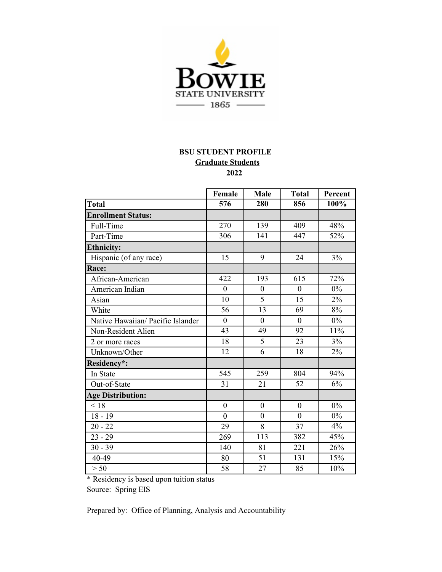

## **BSU STUDENT PROFILE Graduate Students 2022**

|                                   | Female           | Male           | <b>Total</b>   | Percent |
|-----------------------------------|------------------|----------------|----------------|---------|
| Total                             | 576              | 280            | 856            | 100%    |
| <b>Enrollment Status:</b>         |                  |                |                |         |
| Full-Time                         | 270              | 139            | 409            | 48%     |
| Part-Time                         | 306              | 141            | 447            | 52%     |
| <b>Ethnicity:</b>                 |                  |                |                |         |
| Hispanic (of any race)            | 15               | 9              | 24             | 3%      |
| Race:                             |                  |                |                |         |
| African-American                  | 422              | 193            | 615            | 72%     |
| American Indian                   | $\mathbf{0}$     | $\overline{0}$ | $\theta$       | 0%      |
| Asian                             | 10               | 5              | 15             | 2%      |
| White                             | 56               | 13             | 69             | 8%      |
| Native Hawaiian/ Pacific Islander | $\overline{0}$   | $\overline{0}$ | $\overline{0}$ | $0\%$   |
| Non-Resident Alien                | 43               | 49             | 92             | 11%     |
| 2 or more races                   | 18               | 5              | 23             | 3%      |
| Unknown/Other                     | 12               | 6              | 18             | 2%      |
| Residency*:                       |                  |                |                |         |
| In State                          | 545              | 259            | 804            | 94%     |
| Out-of-State                      | 31               | 21             | 52             | 6%      |
| <b>Age Distribution:</b>          |                  |                |                |         |
| < 18                              | $\boldsymbol{0}$ | $\mathbf{0}$   | $\mathbf{0}$   | 0%      |
| $18 - 19$                         | $\overline{0}$   | $\mathbf{0}$   | $\theta$       | 0%      |
| $20 - 22$                         | 29               | 8              | 37             | 4%      |
| $23 - 29$                         | 269              | 113            | 382            | 45%     |
| $30 - 39$                         | 140              | 81             | 221            | 26%     |
| 40-49                             | 80               | 51             | 131            | 15%     |
| > 50                              | 58               | 27             | 85             | 10%     |

\* Residency is based upon tuition status

Source: Spring EIS